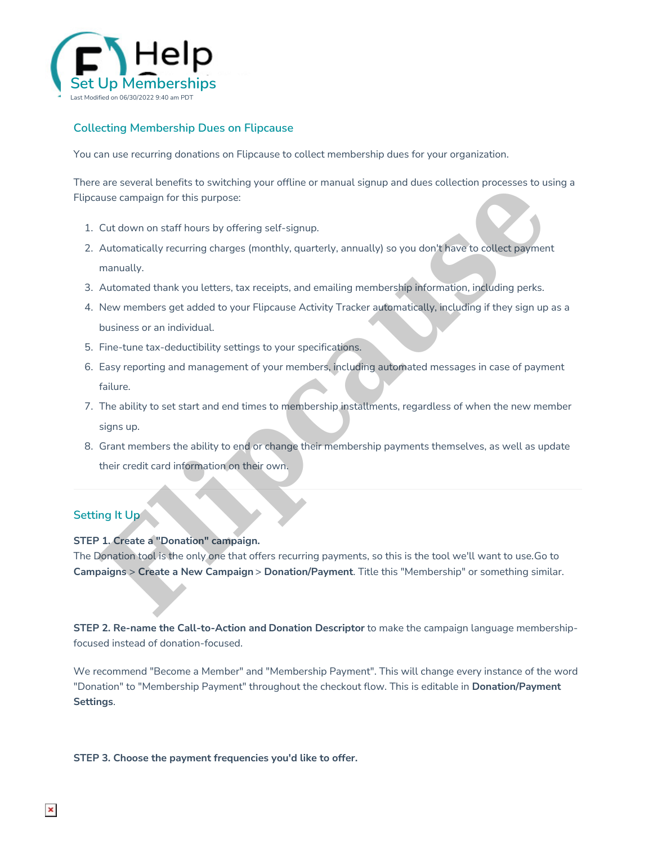

## **Collecting Membership Dues on Flipcause**

You can use recurring donations on Flipcause to collect membership dues for your organization.

There are several benefits to switching your offline or manual signup and dues collection processes to using a Flipcause campaign for this purpose:

- 1. Cut down on staff hours by offering self-signup.
- 2. Automatically recurring charges (monthly, quarterly, annually) so you don't have to collect payment manually.
- 3. Automated thank you letters, tax receipts, and emailing membership information, including perks.
- 4. New members get added to your Flipcause Activity Tracker automatically, including if they sign up as a business or an individual. are several ceneration structure manual signing and dues collection processes to us<br>ausic campaign for this purpose:<br>Cut down on staff hours by offering self-signup.<br>Automatically recurring charges (monthly, quarterly, ann
- 5. Fine-tune tax-deductibility settings to your specifications.
- 6. Easy reporting and management of your members, including automated messages in case of payment failure.
- 7. The ability to set start and end times to membership installments, regardless of when the new member signs up.
- 8. Grant members the ability to end or change their membership payments themselves, as well as update their credit card information on their own.

# **Setting It Up**

## **STEP 1. Create a "Donation" campaign.**

The Donation tool is the only one that offers recurring payments, so this is the tool we'll want to use.Go to **Campaigns** > **Create a New Campaign** > **Donation/Payment**. Title this "Membership" or something similar.

**STEP 2. Re-name the Call-to-Action and Donation Descriptor** to make the campaign language membershipfocused instead of donation-focused.

We recommend "Become a Member" and "Membership Payment". This will change every instance of the word "Donation" to "Membership Payment" throughout the checkout flow. This is editable in **Donation/Payment Settings**.

#### **STEP 3. Choose the payment frequencies you'd like to offer.**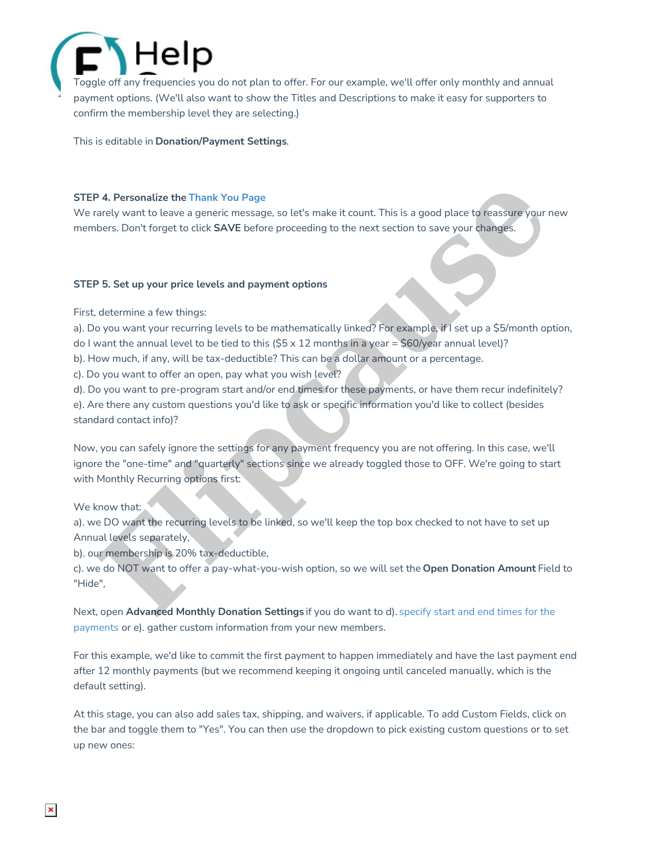# lelp Toggle off any frequencies you do not plan to offer. For our example, we'll offer only monthly and annual payment options. (We'll also want to show the Titles and Descriptions to make it easy for supporters to confirm the membership level they are selecting.)

This is editable in **Donation/Payment Settings**.

### **STEP 4. Personalize the Thank You Page**

We rarely want to leave a generic message, so let's make it count. This is a good place to reassure your new members. Don't forget to click **SAVE** before proceeding to the next section to save your changes.

### **STEP 5. Set up your price levels and payment options**

First, determine a few things:

a). Do you want your recurring levels to be mathematically linked? For example, if I set up a \$5/month option, do I want the annual level to be tied to this  $(55 \times 12 \text{ months in a year} = $60/year$  annual level)?

b). How much, if any, will be tax-deductible? This can be a dollar amount or a percentage.

c). Do you want to offer an open, pay what you wish level?

d). Do you want to pre-program start and/or end times for these payments, or have them recur indefinitely? e). Are there any custom questions you'd like to ask or specific information you'd like to collect (besides standard contact info)?

Now, you can safely ignore the settings for any payment frequency you are not offering. In this case, we'll ignore the "one-time" and "quarterly" sections since we already toggled those to OFF. We're going to start with Monthly Recurring options first: **[F](http://help.flipcause.com/help/start-end-dates-recurring-payments)all of the state of the state of the state of the state of the state of the state of the state of the state of the state of the state of the state of the state of the state of the state of the state of the state of the s** 

### We know that:

a). we DO want the recurring levels to be linked, so we'll keep the top box checked to not have to set up Annual levels separately,

b). our membership is 20% tax-deductible,

c). we do NOT want to offer a pay-what-you-wish option, so we will set the **Open Donation Amount** Field to "Hide",

Next, open **Advanced Monthly Donation Settings** if you do want to d). specify start and end times for the payments or e). gather custom information from your new members.

For this example, we'd like to commit the first payment to happen immediately and have the last payment end after 12 monthly payments (but we recommend keeping it ongoing until canceled manually, which is the default setting).

At this stage, you can also add sales tax, shipping, and waivers, if applicable. To add Custom Fields, click on the bar and toggle them to "Yes". You can then use the dropdown to pick existing custom questions or to set up new ones: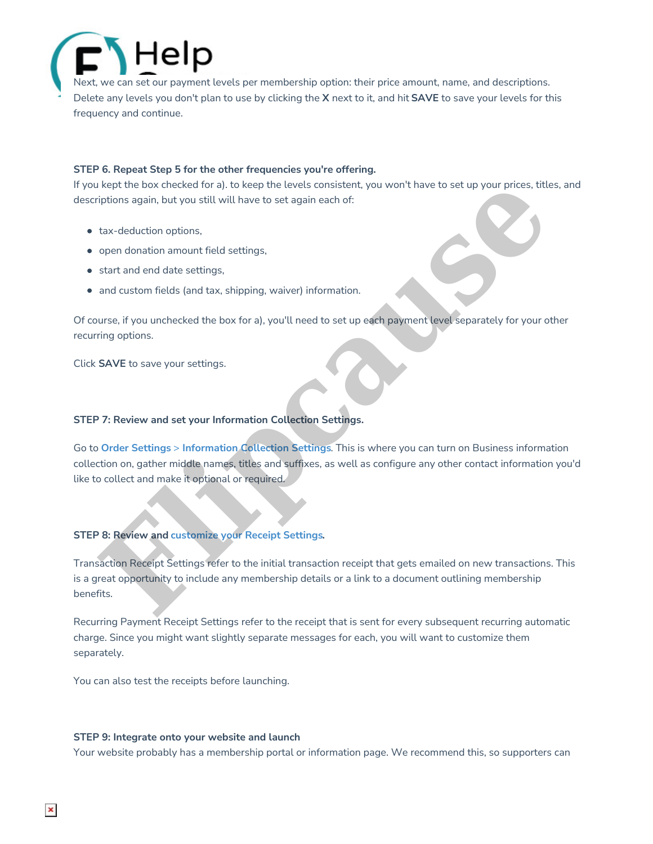Next, we can set our payment levels per membership option: their price amount, name, and descriptions. Delete any levels you don't plan to use by clicking the **X** next to it, and hit **SAVE** to save your levels for this frequency and continue.

#### **STEP 6. Repeat Step 5 for the other frequencies you're offering.**

If you kept the box checked for a). to keep the levels consistent, you won't have to set up your prices, titles, and descriptions again, but you still will have to set again each of:

- tax-deduction options,
- open donation amount field settings,
- start and end date settings,
- and custom fields (and tax, shipping, waiver) information.

Of course, if you unchecked the box for a), you'll need to set up each payment level separately for your other recurring options.

Click **SAVE** to save your settings.

#### **STEP 7: Review and set your Information Collection Settings.**

Go to **Order Settings** > **Information Collection Settings**. This is where you can turn on Business information collection on, gather middle names, titles and suffixes, as well as configure any other contact information you'd like to collect and make it optional or required. Ike low checked for a). to keep the levels consistent, you won't have to set up your prices, title<br>ti[pc](http://help.flipcause.com/help/information-collection-settings)ions again, but you still, will have to set again each of:<br>tax-deduction options!<br>open donation amount field settings,<br>

### **STEP 8: Review and customize your Receipt Settings.**

Transaction Receipt Settings refer to the initial transaction receipt that gets emailed on new transactions. This is a great opportunity to include any membership details or a link to a document outlining membership benefits.

Recurring Payment Receipt Settings refer to the receipt that is sent for every subsequent recurring automatic charge. Since you might want slightly separate messages for each, you will want to customize them separately.

You can also test the receipts before launching.

#### **STEP 9: Integrate onto your website and launch**

Your website probably has a membership portal or information page. We recommend this, so supporters can